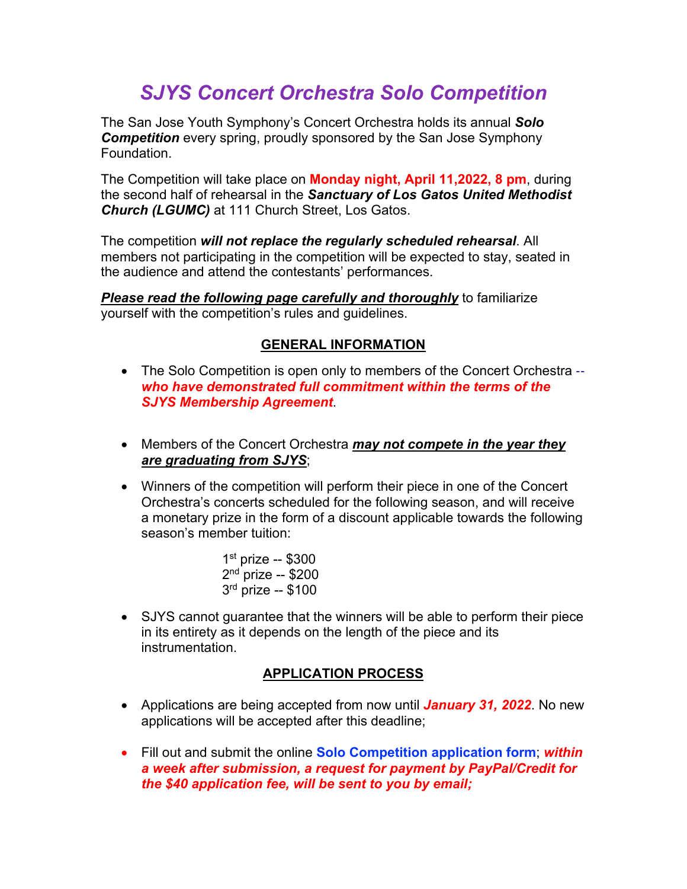# *SJYS Concert Orchestra Solo Competition*

The San Jose Youth Symphony's Concert Orchestra holds its annual *Solo Competition* every spring, proudly sponsored by the San Jose Symphony Foundation.

The Competition will take place on **Monday night, April 11,2022, 8 pm**, during the second half of rehearsal in the *Sanctuary of Los Gatos United Methodist Church (LGUMC)* at 111 Church Street, Los Gatos.

The competition *will not replace the regularly scheduled rehearsal*. All members not participating in the competition will be expected to stay, seated in the audience and attend the contestants' performances.

*Please read the following page carefully and thoroughly* to familiarize yourself with the competition's rules and guidelines.

# **GENERAL INFORMATION**

- The Solo Competition is open only to members of the Concert Orchestra -*who have demonstrated full commitment within the terms of the SJYS Membership Agreement*.
- Members of the Concert Orchestra *may not compete in the year they are graduating from SJYS*;
- Winners of the competition will perform their piece in one of the Concert Orchestra's concerts scheduled for the following season, and will receive a monetary prize in the form of a discount applicable towards the following season's member tuition:

 $1<sup>st</sup>$  prize -- \$300  $2<sup>nd</sup>$  prize -- \$200  $3<sup>rd</sup>$  prize -- \$100

• SJYS cannot guarantee that the winners will be able to perform their piece in its entirety as it depends on the length of the piece and its instrumentation.

# **APPLICATION PROCESS**

- Applications are being accepted from now until *January 31, 2022*. No new applications will be accepted after this deadline;
- Fill out and submit the online **Solo Competition application form**; *within a week after submission, a request for payment by PayPal/Credit for the \$40 application fee, will be sent to you by email;*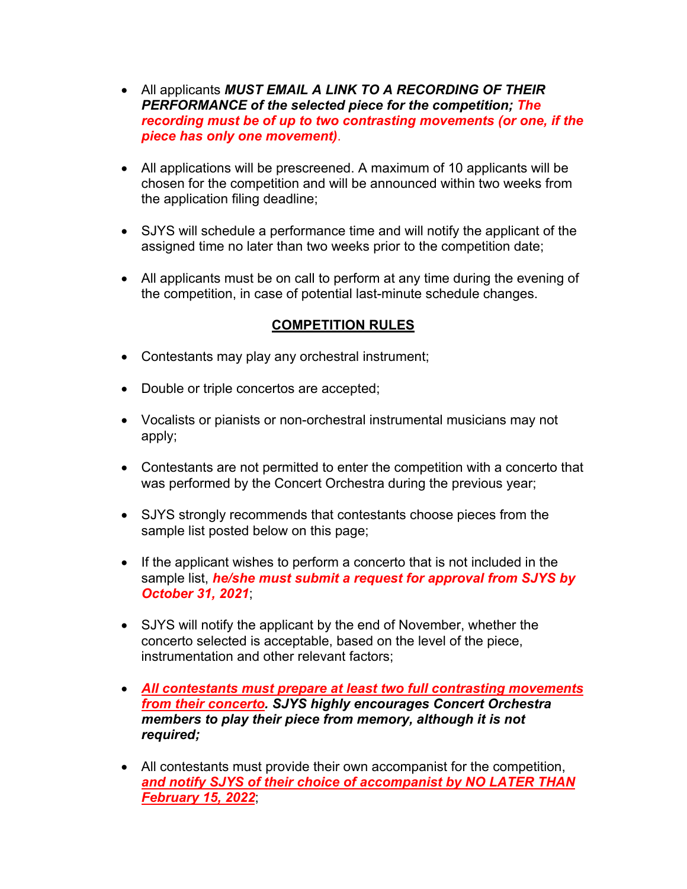- All applicants *MUST EMAIL A LINK TO A RECORDING OF THEIR PERFORMANCE of the selected piece for the competition; The recording must be of up to two contrasting movements (or one, if the piece has only one movement)*.
- All applications will be prescreened. A maximum of 10 applicants will be chosen for the competition and will be announced within two weeks from the application filing deadline;
- SJYS will schedule a performance time and will notify the applicant of the assigned time no later than two weeks prior to the competition date;
- All applicants must be on call to perform at any time during the evening of the competition, in case of potential last-minute schedule changes.

# **COMPETITION RULES**

- Contestants may play any orchestral instrument;
- Double or triple concertos are accepted;
- Vocalists or pianists or non-orchestral instrumental musicians may not apply;
- Contestants are not permitted to enter the competition with a concerto that was performed by the Concert Orchestra during the previous year;
- SJYS strongly recommends that contestants choose pieces from the sample list posted below on this page;
- If the applicant wishes to perform a concerto that is not included in the sample list, *he/she must submit a request for approval from SJYS by October 31, 2021*;
- SJYS will notify the applicant by the end of November, whether the concerto selected is acceptable, based on the level of the piece, instrumentation and other relevant factors;
- *All contestants must prepare at least two full contrasting movements from their concerto. SJYS highly encourages Concert Orchestra members to play their piece from memory, although it is not required;*
- All contestants must provide their own accompanist for the competition, *and notify SJYS of their choice of accompanist by NO LATER THAN February 15, 2022*;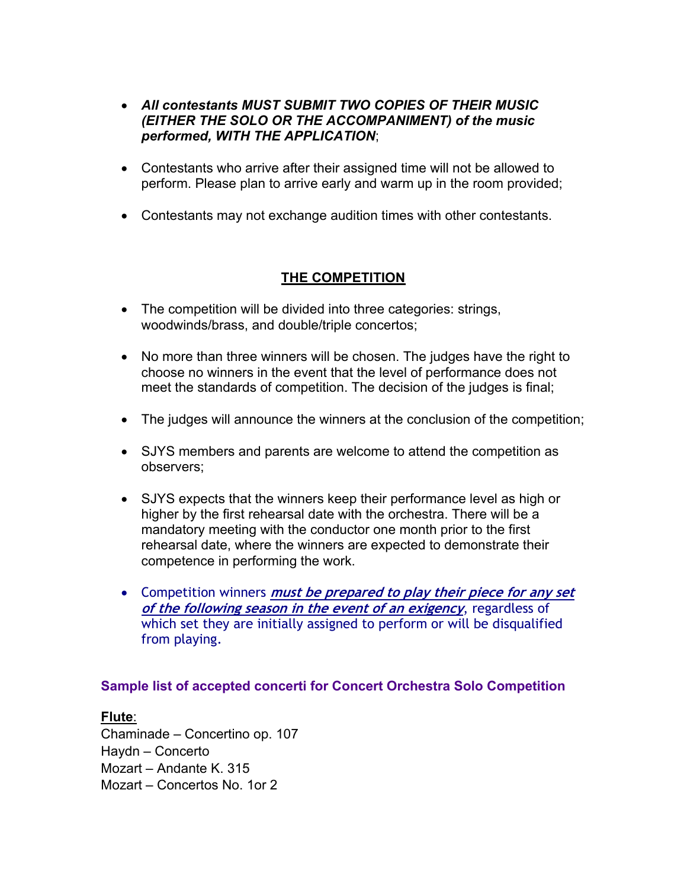- *All contestants MUST SUBMIT TWO COPIES OF THEIR MUSIC (EITHER THE SOLO OR THE ACCOMPANIMENT) of the music performed, WITH THE APPLICATION*;
- Contestants who arrive after their assigned time will not be allowed to perform. Please plan to arrive early and warm up in the room provided;
- Contestants may not exchange audition times with other contestants.

# **THE COMPETITION**

- The competition will be divided into three categories: strings, woodwinds/brass, and double/triple concertos;
- No more than three winners will be chosen. The judges have the right to choose no winners in the event that the level of performance does not meet the standards of competition. The decision of the judges is final;
- The judges will announce the winners at the conclusion of the competition;
- SJYS members and parents are welcome to attend the competition as observers;
- SJYS expects that the winners keep their performance level as high or higher by the first rehearsal date with the orchestra. There will be a mandatory meeting with the conductor one month prior to the first rehearsal date, where the winners are expected to demonstrate their competence in performing the work.
- Competition winners **must be prepared to play their piece for any set of the following season in the event of an exigency**, regardless of which set they are initially assigned to perform or will be disqualified from playing.

# **Sample list of accepted concerti for Concert Orchestra Solo Competition**

# **Flute**:

Chaminade – Concertino op. 107 Haydn – Concerto Mozart – Andante K. 315 Mozart – Concertos No. 1or 2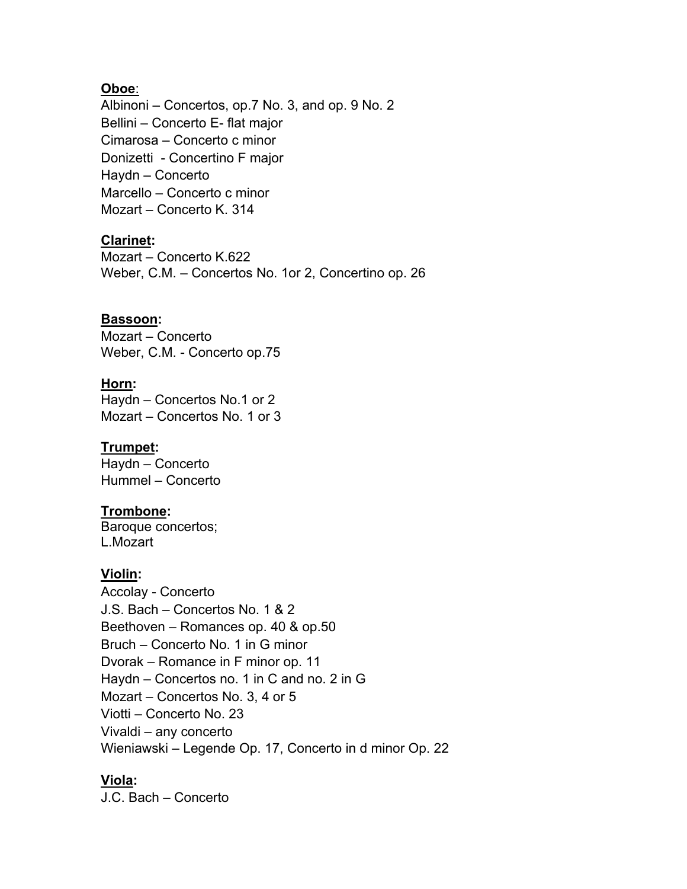# **Oboe**:

Albinoni – Concertos, op.7 No. 3, and op. 9 No. 2 Bellini – Concerto E- flat major Cimarosa – Concerto c minor Donizetti - Concertino F major Haydn – Concerto Marcello – Concerto c minor Mozart – Concerto K. 314

# **Clarinet:**

Mozart – Concerto K.622 Weber, C.M. – Concertos No. 1or 2, Concertino op. 26

#### **Bassoon:**

Mozart – Concerto Weber, C.M. - Concerto op.75

#### **Horn:**

Haydn – Concertos No.1 or 2 Mozart – Concertos No. 1 or 3

# **Trumpet:**

Haydn – Concerto Hummel – Concerto

# **Trombone:**

Baroque concertos; L.Mozart

# **Violin:**

Accolay - Concerto J.S. Bach – Concertos No. 1 & 2 Beethoven – Romances op. 40 & op.50 Bruch – Concerto No. 1 in G minor Dvorak – Romance in F minor op. 11 Haydn – Concertos no. 1 in C and no. 2 in G Mozart – Concertos No. 3, 4 or 5 Viotti – Concerto No. 23 Vivaldi – any concerto Wieniawski – Legende Op. 17, Concerto in d minor Op. 22

# **Viola:**

J.C. Bach – Concerto